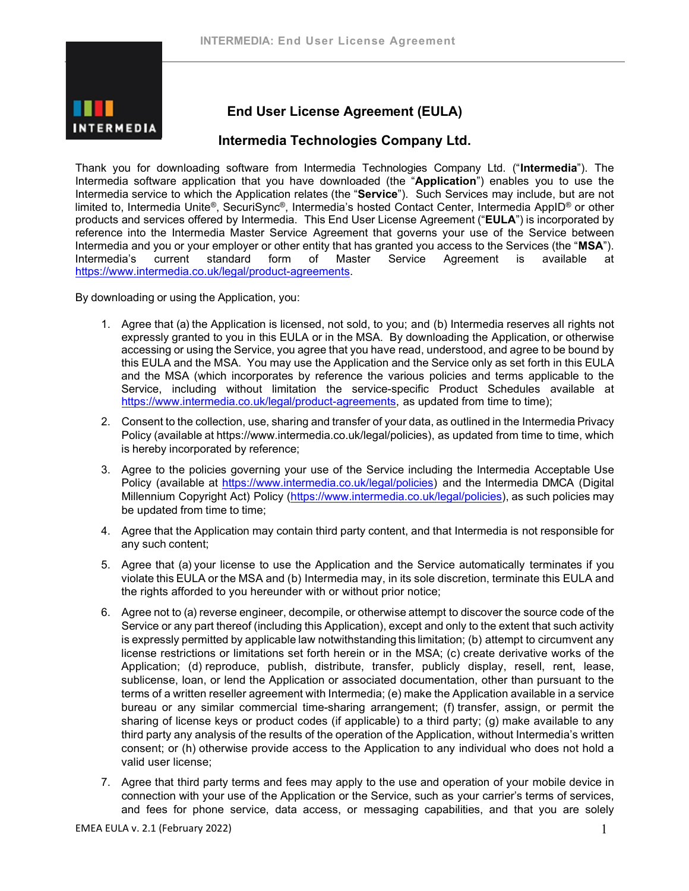

# **End User License Agreement (EULA)**

## **Intermedia Technologies Company Ltd.**

Thank you for downloading software from Intermedia Technologies Company Ltd. ("**Intermedia**"). The Intermedia software application that you have downloaded (the "**Application**") enables you to use the Intermedia service to which the Application relates (the "**Service**"). Such Services may include, but are not limited to, Intermedia Unite®, SecuriSync®, Intermedia's hosted Contact Center, Intermedia AppID® or other products and services offered by Intermedia. This End User License Agreement ("**EULA**") is incorporated by reference into the Intermedia Master Service Agreement that governs your use of the Service between Intermedia and you or your employer or other entity that has granted you access to the Services (the "**MSA**"). Intermedia's current standard form of Master Service Agreement is available at [https://www.intermedia.co.uk/legal/product-agreements.](https://www.intermedia.co.uk/legal/product-agreements)

By downloading or using the Application, you:

- 1. Agree that (a) the Application is licensed, not sold, to you; and (b) Intermedia reserves all rights not expressly granted to you in this EULA or in the MSA. By downloading the Application, or otherwise accessing or using the Service, you agree that you have read, understood, and agree to be bound by this EULA and the MSA. You may use the Application and the Service only as set forth in this EULA and the MSA (which incorporates by reference the various policies and terms applicable to the Service, including without limitation the service-specific Product Schedules available at [https://www.intermedia.co.uk/legal/product-agreements,](https://www.intermedia.co.uk/legal/product-agreements) [a](https://www.intermedia.co.uk/legal/product-agreements)s updated from time to time);
- 2. Consent to the collection, use, sharing and transfer of your data, as outlined in the Intermedia Privacy Policy (available at https://www.intermedia.co.uk/legal/policies), as updated from time to time, which is hereby incorporated by reference;
- 3. Agree to the policies governing your use of the Service including the Intermedia Acceptable Use Policy (available at [https://www.intermedia.co.uk/legal/policies\)](https://www.intermedia.co.uk/legal/policies) and the Intermedia DMCA (Digital Millennium Copyright Act) Policy [\(https://www.intermedia.co.uk/legal/policies\)](https://www.intermedia.co.uk/legal/policies), as such policies may be updated from time to time;
- 4. Agree that the Application may contain third party content, and that Intermedia is not responsible for any such content;
- 5. Agree that (a) your license to use the Application and the Service automatically terminates if you violate this EULA or the MSA and (b) Intermedia may, in its sole discretion, terminate this EULA and the rights afforded to you hereunder with or without prior notice;
- 6. Agree not to (a) reverse engineer, decompile, or otherwise attempt to discover the source code of the Service or any part thereof (including this Application), except and only to the extent that such activity is expressly permitted by applicable law notwithstanding this limitation; (b) attempt to circumvent any license restrictions or limitations set forth herein or in the MSA; (c) create derivative works of the Application; (d) reproduce, publish, distribute, transfer, publicly display, resell, rent, lease, sublicense, loan, or lend the Application or associated documentation, other than pursuant to the terms of a written reseller agreement with Intermedia; (e) make the Application available in a service bureau or any similar commercial time-sharing arrangement; (f) transfer, assign, or permit the sharing of license keys or product codes (if applicable) to a third party; (g) make available to any third party any analysis of the results of the operation of the Application, without Intermedia's written consent; or (h) otherwise provide access to the Application to any individual who does not hold a valid user license;
- 7. Agree that third party terms and fees may apply to the use and operation of your mobile device in connection with your use of the Application or the Service, such as your carrier's terms of services, and fees for phone service, data access, or messaging capabilities, and that you are solely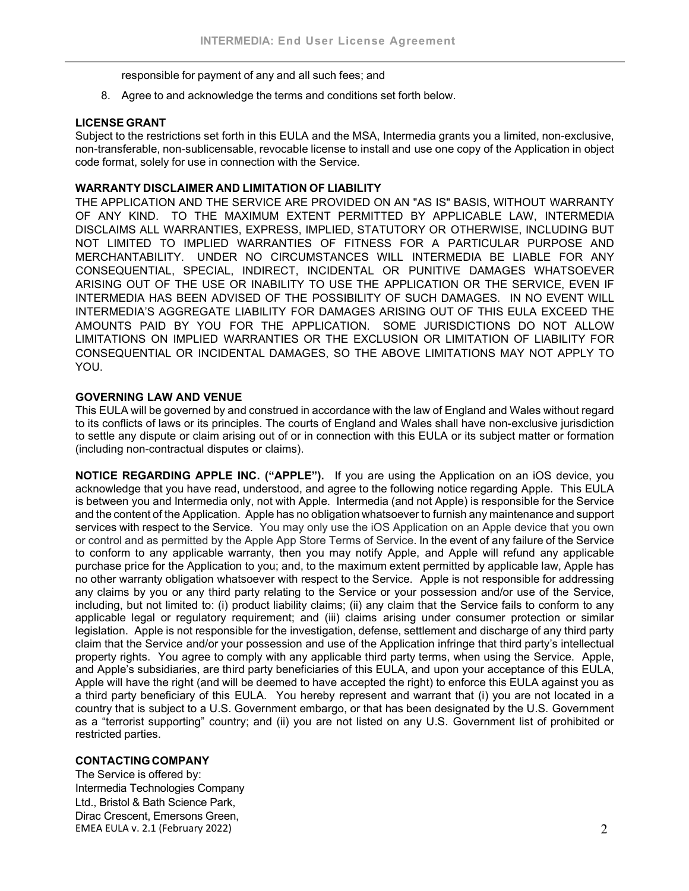responsible for payment of any and all such fees; and

8. Agree to and acknowledge the terms and conditions set forth below.

#### **LICENSE GRANT**

Subject to the restrictions set forth in this EULA and the MSA, Intermedia grants you a limited, non-exclusive, non-transferable, non-sublicensable, revocable license to install and use one copy of the Application in object code format, solely for use in connection with the Service.

#### **WARRANTY DISCLAIMER AND LIMITATION OF LIABILITY**

THE APPLICATION AND THE SERVICE ARE PROVIDED ON AN "AS IS" BASIS, WITHOUT WARRANTY OF ANY KIND. TO THE MAXIMUM EXTENT PERMITTED BY APPLICABLE LAW, INTERMEDIA DISCLAIMS ALL WARRANTIES, EXPRESS, IMPLIED, STATUTORY OR OTHERWISE, INCLUDING BUT NOT LIMITED TO IMPLIED WARRANTIES OF FITNESS FOR A PARTICULAR PURPOSE AND MERCHANTABILITY. UNDER NO CIRCUMSTANCES WILL INTERMEDIA BE LIABLE FOR ANY CONSEQUENTIAL, SPECIAL, INDIRECT, INCIDENTAL OR PUNITIVE DAMAGES WHATSOEVER ARISING OUT OF THE USE OR INABILITY TO USE THE APPLICATION OR THE SERVICE, EVEN IF INTERMEDIA HAS BEEN ADVISED OF THE POSSIBILITY OF SUCH DAMAGES. IN NO EVENT WILL INTERMEDIA'S AGGREGATE LIABILITY FOR DAMAGES ARISING OUT OF THIS EULA EXCEED THE AMOUNTS PAID BY YOU FOR THE APPLICATION. SOME JURISDICTIONS DO NOT ALLOW LIMITATIONS ON IMPLIED WARRANTIES OR THE EXCLUSION OR LIMITATION OF LIABILITY FOR CONSEQUENTIAL OR INCIDENTAL DAMAGES, SO THE ABOVE LIMITATIONS MAY NOT APPLY TO YOU.

## **GOVERNING LAW AND VENUE**

This EULA will be governed by and construed in accordance with the law of England and Wales without regard to its conflicts of laws or its principles. The courts of England and Wales shall have non-exclusive jurisdiction to settle any dispute or claim arising out of or in connection with this EULA or its subject matter or formation (including non-contractual disputes or claims).

**NOTICE REGARDING APPLE INC. ("APPLE").** If you are using the Application on an iOS device, you acknowledge that you have read, understood, and agree to the following notice regarding Apple. This EULA is between you and Intermedia only, not with Apple. Intermedia (and not Apple) is responsible for the Service and the content of the Application. Apple has no obligation whatsoever to furnish any maintenance and support services with respect to the Service. You may only use the iOS Application on an Apple device that you own or control and as permitted by the Apple App Store Terms of Service. In the event of any failure of the Service to conform to any applicable warranty, then you may notify Apple, and Apple will refund any applicable purchase price for the Application to you; and, to the maximum extent permitted by applicable law, Apple has no other warranty obligation whatsoever with respect to the Service. Apple is not responsible for addressing any claims by you or any third party relating to the Service or your possession and/or use of the Service, including, but not limited to: (i) product liability claims; (ii) any claim that the Service fails to conform to any applicable legal or regulatory requirement; and (iii) claims arising under consumer protection or similar legislation. Apple is not responsible for the investigation, defense, settlement and discharge of any third party claim that the Service and/or your possession and use of the Application infringe that third party's intellectual property rights. You agree to comply with any applicable third party terms, when using the Service. Apple, and Apple's subsidiaries, are third party beneficiaries of this EULA, and upon your acceptance of this EULA, Apple will have the right (and will be deemed to have accepted the right) to enforce this EULA against you as a third party beneficiary of this EULA. You hereby represent and warrant that (i) you are not located in a country that is subject to a U.S. Government embargo, or that has been designated by the U.S. Government as a "terrorist supporting" country; and (ii) you are not listed on any U.S. Government list of prohibited or restricted parties.

## **CONTACTINGCOMPANY**

EMEA EULA v. 2.1 (February 2022)  $\hspace{2cm}$ The Service is offered by: Intermedia Technologies Company Ltd., Bristol & Bath Science Park, Dirac Crescent, Emersons Green,